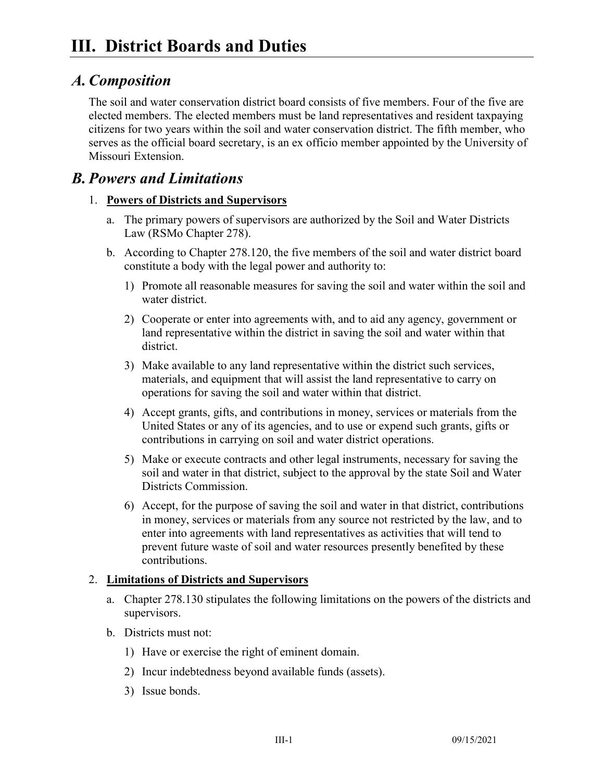# *A.Composition*

The soil and water conservation district board consists of five members. Four of the five are elected members. The elected members must be land representatives and resident taxpaying citizens for two years within the soil and water conservation district. The fifth member, who serves as the official board secretary, is an ex officio member appointed by the University of Missouri Extension.

## *B. Powers and Limitations*

### 1. **Powers of Districts and Supervisors**

- a. The primary powers of supervisors are authorized by the Soil and Water Districts Law (RSMo Chapter 278).
- b. According to Chapter 278.120, the five members of the soil and water district board constitute a body with the legal power and authority to:
	- 1) Promote all reasonable measures for saving the soil and water within the soil and water district.
	- 2) Cooperate or enter into agreements with, and to aid any agency, government or land representative within the district in saving the soil and water within that district.
	- 3) Make available to any land representative within the district such services, materials, and equipment that will assist the land representative to carry on operations for saving the soil and water within that district.
	- 4) Accept grants, gifts, and contributions in money, services or materials from the United States or any of its agencies, and to use or expend such grants, gifts or contributions in carrying on soil and water district operations.
	- 5) Make or execute contracts and other legal instruments, necessary for saving the soil and water in that district, subject to the approval by the state Soil and Water Districts Commission.
	- 6) Accept, for the purpose of saving the soil and water in that district, contributions in money, services or materials from any source not restricted by the law, and to enter into agreements with land representatives as activities that will tend to prevent future waste of soil and water resources presently benefited by these contributions.

#### 2. **Limitations of Districts and Supervisors**

- a. Chapter 278.130 stipulates the following limitations on the powers of the districts and supervisors.
- b. Districts must not:
	- 1) Have or exercise the right of eminent domain.
	- 2) Incur indebtedness beyond available funds (assets).
	- 3) Issue bonds.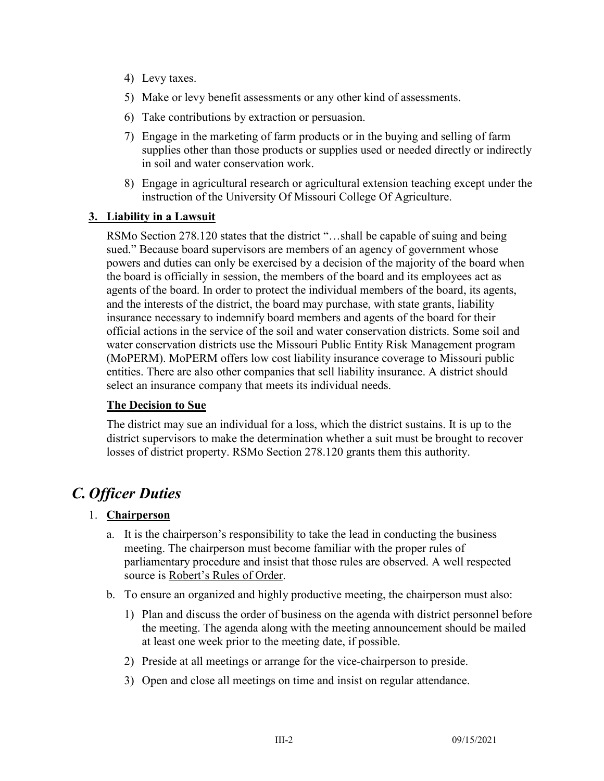- 4) Levy taxes.
- 5) Make or levy benefit assessments or any other kind of assessments.
- 6) Take contributions by extraction or persuasion.
- 7) Engage in the marketing of farm products or in the buying and selling of farm supplies other than those products or supplies used or needed directly or indirectly in soil and water conservation work.
- 8) Engage in agricultural research or agricultural extension teaching except under the instruction of the University Of Missouri College Of Agriculture.

#### **3. Liability in a Lawsuit**

RSMo Section 278.120 states that the district "…shall be capable of suing and being sued." Because board supervisors are members of an agency of government whose powers and duties can only be exercised by a decision of the majority of the board when the board is officially in session, the members of the board and its employees act as agents of the board. In order to protect the individual members of the board, its agents, and the interests of the district, the board may purchase, with state grants, liability insurance necessary to indemnify board members and agents of the board for their official actions in the service of the soil and water conservation districts. Some soil and water conservation districts use the Missouri Public Entity Risk Management program (MoPERM). MoPERM offers low cost liability insurance coverage to Missouri public entities. There are also other companies that sell liability insurance. A district should select an insurance company that meets its individual needs.

#### **The Decision to Sue**

The district may sue an individual for a loss, which the district sustains. It is up to the district supervisors to make the determination whether a suit must be brought to recover losses of district property. RSMo Section 278.120 grants them this authority.

# *C. Officer Duties*

#### 1. **Chairperson**

- a. It is the chairperson's responsibility to take the lead in conducting the business meeting. The chairperson must become familiar with the proper rules of parliamentary procedure and insist that those rules are observed. A well respected source is Robert's Rules of Order.
- b. To ensure an organized and highly productive meeting, the chairperson must also:
	- 1) Plan and discuss the order of business on the agenda with district personnel before the meeting. The agenda along with the meeting announcement should be mailed at least one week prior to the meeting date, if possible.
	- 2) Preside at all meetings or arrange for the vice-chairperson to preside.
	- 3) Open and close all meetings on time and insist on regular attendance.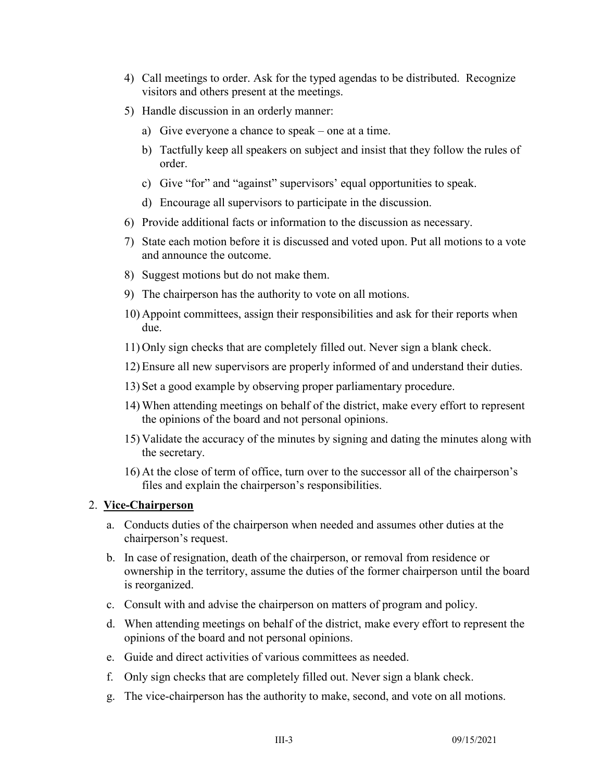- 4) Call meetings to order. Ask for the typed agendas to be distributed. Recognize visitors and others present at the meetings.
- 5) Handle discussion in an orderly manner:
	- a) Give everyone a chance to speak one at a time.
	- b) Tactfully keep all speakers on subject and insist that they follow the rules of order.
	- c) Give "for" and "against" supervisors' equal opportunities to speak.
	- d) Encourage all supervisors to participate in the discussion.
- 6) Provide additional facts or information to the discussion as necessary.
- 7) State each motion before it is discussed and voted upon. Put all motions to a vote and announce the outcome.
- 8) Suggest motions but do not make them.
- 9) The chairperson has the authority to vote on all motions.
- 10) Appoint committees, assign their responsibilities and ask for their reports when due.
- 11) Only sign checks that are completely filled out. Never sign a blank check.
- 12) Ensure all new supervisors are properly informed of and understand their duties.
- 13) Set a good example by observing proper parliamentary procedure.
- 14) When attending meetings on behalf of the district, make every effort to represent the opinions of the board and not personal opinions.
- 15) Validate the accuracy of the minutes by signing and dating the minutes along with the secretary.
- 16) At the close of term of office, turn over to the successor all of the chairperson's files and explain the chairperson's responsibilities.

#### 2. **Vice-Chairperson**

- a. Conducts duties of the chairperson when needed and assumes other duties at the chairperson's request.
- b. In case of resignation, death of the chairperson, or removal from residence or ownership in the territory, assume the duties of the former chairperson until the board is reorganized.
- c. Consult with and advise the chairperson on matters of program and policy.
- d. When attending meetings on behalf of the district, make every effort to represent the opinions of the board and not personal opinions.
- e. Guide and direct activities of various committees as needed.
- f. Only sign checks that are completely filled out. Never sign a blank check.
- g. The vice-chairperson has the authority to make, second, and vote on all motions.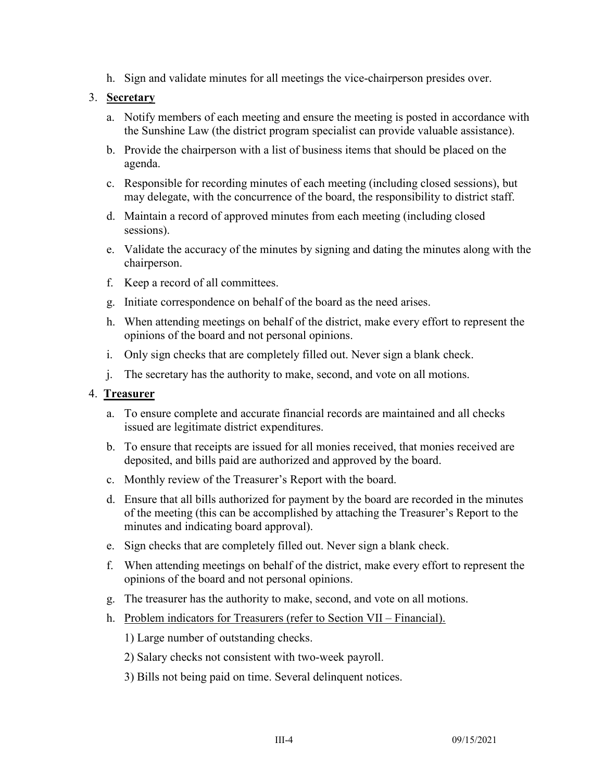h. Sign and validate minutes for all meetings the vice-chairperson presides over.

#### 3. **Secretary**

- a. Notify members of each meeting and ensure the meeting is posted in accordance with the Sunshine Law (the district program specialist can provide valuable assistance).
- b. Provide the chairperson with a list of business items that should be placed on the agenda.
- c. Responsible for recording minutes of each meeting (including closed sessions), but may delegate, with the concurrence of the board, the responsibility to district staff.
- d. Maintain a record of approved minutes from each meeting (including closed sessions).
- e. Validate the accuracy of the minutes by signing and dating the minutes along with the chairperson.
- f. Keep a record of all committees.
- g. Initiate correspondence on behalf of the board as the need arises.
- h. When attending meetings on behalf of the district, make every effort to represent the opinions of the board and not personal opinions.
- i. Only sign checks that are completely filled out. Never sign a blank check.
- j. The secretary has the authority to make, second, and vote on all motions.

#### 4. **Treasurer**

- a. To ensure complete and accurate financial records are maintained and all checks issued are legitimate district expenditures.
- b. To ensure that receipts are issued for all monies received, that monies received are deposited, and bills paid are authorized and approved by the board.
- c. Monthly review of the Treasurer's Report with the board.
- d. Ensure that all bills authorized for payment by the board are recorded in the minutes of the meeting (this can be accomplished by attaching the Treasurer's Report to the minutes and indicating board approval).
- e. Sign checks that are completely filled out. Never sign a blank check.
- f. When attending meetings on behalf of the district, make every effort to represent the opinions of the board and not personal opinions.
- g. The treasurer has the authority to make, second, and vote on all motions.
- h. Problem indicators for Treasurers (refer to Section VII Financial).
	- 1) Large number of outstanding checks.
	- 2) Salary checks not consistent with two-week payroll.
	- 3) Bills not being paid on time. Several delinquent notices.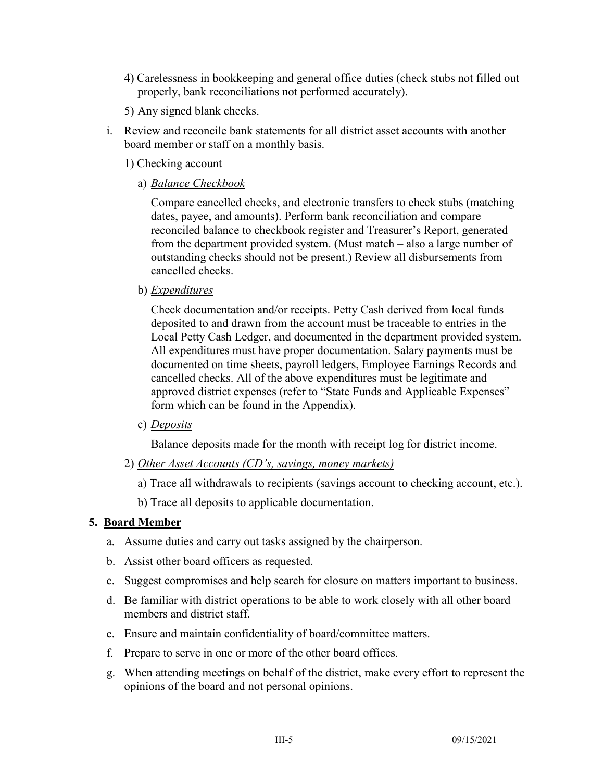- 4) Carelessness in bookkeeping and general office duties (check stubs not filled out properly, bank reconciliations not performed accurately).
- 5) Any signed blank checks.
- i. Review and reconcile bank statements for all district asset accounts with another board member or staff on a monthly basis.
	- 1) Checking account
		- a) *Balance Checkbook*

Compare cancelled checks, and electronic transfers to check stubs (matching dates, payee, and amounts). Perform bank reconciliation and compare reconciled balance to checkbook register and Treasurer's Report, generated from the department provided system. (Must match – also a large number of outstanding checks should not be present.) Review all disbursements from cancelled checks.

b) *Expenditures*

Check documentation and/or receipts. Petty Cash derived from local funds deposited to and drawn from the account must be traceable to entries in the Local Petty Cash Ledger, and documented in the department provided system. All expenditures must have proper documentation. Salary payments must be documented on time sheets, payroll ledgers, Employee Earnings Records and cancelled checks. All of the above expenditures must be legitimate and approved district expenses (refer to "State Funds and Applicable Expenses" form which can be found in the Appendix).

c) *Deposits*

Balance deposits made for the month with receipt log for district income.

- 2) *Other Asset Accounts (CD's, savings, money markets)*
	- a) Trace all withdrawals to recipients (savings account to checking account, etc.).
	- b) Trace all deposits to applicable documentation.

#### **5. Board Member**

- a. Assume duties and carry out tasks assigned by the chairperson.
- b. Assist other board officers as requested.
- c. Suggest compromises and help search for closure on matters important to business.
- d. Be familiar with district operations to be able to work closely with all other board members and district staff.
- e. Ensure and maintain confidentiality of board/committee matters.
- f. Prepare to serve in one or more of the other board offices.
- g. When attending meetings on behalf of the district, make every effort to represent the opinions of the board and not personal opinions.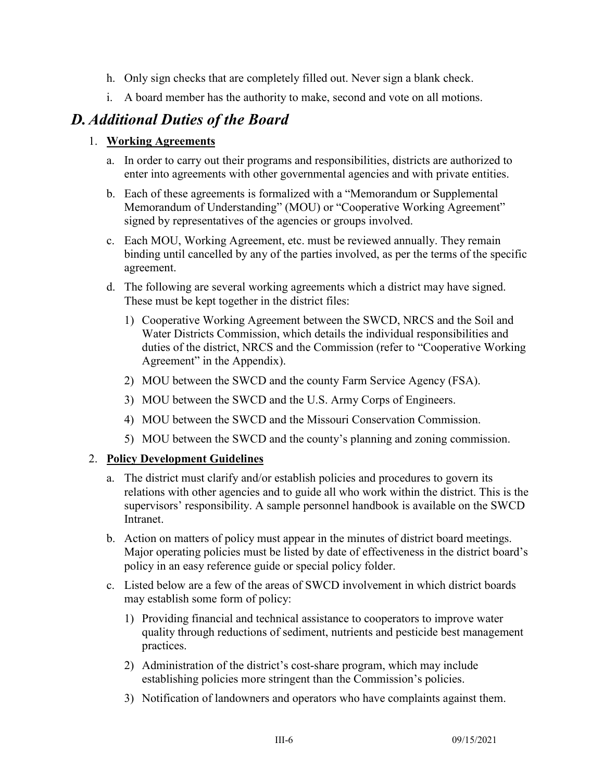- h. Only sign checks that are completely filled out. Never sign a blank check.
- i. A board member has the authority to make, second and vote on all motions.

# *D.Additional Duties of the Board*

### 1. **Working Agreements**

- a. In order to carry out their programs and responsibilities, districts are authorized to enter into agreements with other governmental agencies and with private entities.
- b. Each of these agreements is formalized with a "Memorandum or Supplemental Memorandum of Understanding" (MOU) or "Cooperative Working Agreement" signed by representatives of the agencies or groups involved.
- c. Each MOU, Working Agreement, etc. must be reviewed annually. They remain binding until cancelled by any of the parties involved, as per the terms of the specific agreement.
- d. The following are several working agreements which a district may have signed. These must be kept together in the district files:
	- 1) Cooperative Working Agreement between the SWCD, NRCS and the Soil and Water Districts Commission, which details the individual responsibilities and duties of the district, NRCS and the Commission (refer to "Cooperative Working Agreement" in the Appendix).
	- 2) MOU between the SWCD and the county Farm Service Agency (FSA).
	- 3) MOU between the SWCD and the U.S. Army Corps of Engineers.
	- 4) MOU between the SWCD and the Missouri Conservation Commission.
	- 5) MOU between the SWCD and the county's planning and zoning commission.

### 2. **Policy Development Guidelines**

- a. The district must clarify and/or establish policies and procedures to govern its relations with other agencies and to guide all who work within the district. This is the supervisors' responsibility. A sample personnel handbook is available on the SWCD Intranet.
- b. Action on matters of policy must appear in the minutes of district board meetings. Major operating policies must be listed by date of effectiveness in the district board's policy in an easy reference guide or special policy folder.
- c. Listed below are a few of the areas of SWCD involvement in which district boards may establish some form of policy:
	- 1) Providing financial and technical assistance to cooperators to improve water quality through reductions of sediment, nutrients and pesticide best management practices.
	- 2) Administration of the district's cost-share program, which may include establishing policies more stringent than the Commission's policies.
	- 3) Notification of landowners and operators who have complaints against them.